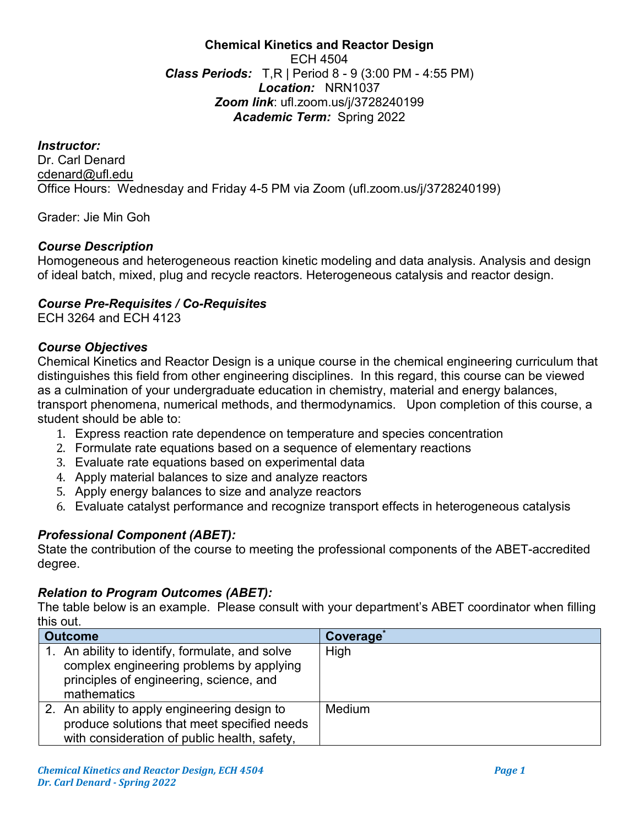#### **Chemical Kinetics and Reactor Design** ECH 4504 *Class Periods:* T,R | Period 8 - 9 (3:00 PM - 4:55 PM) *Location:* NRN1037 *Zoom link*: ufl.zoom.us/j/3728240199 *Academic Term:* Spring 2022

*Instructor:* Dr. Carl Denard cdenard@ufl.edu Office Hours: Wednesday and Friday 4-5 PM via Zoom (ufl.zoom.us/j/3728240199)

Grader: Jie Min Goh

#### *Course Description*

Homogeneous and heterogeneous reaction kinetic modeling and data analysis. Analysis and design of ideal batch, mixed, plug and recycle reactors. Heterogeneous catalysis and reactor design.

#### *Course Pre-Requisites / Co-Requisites*

ECH 3264 and ECH 4123

#### *Course Objectives*

Chemical Kinetics and Reactor Design is a unique course in the chemical engineering curriculum that distinguishes this field from other engineering disciplines. In this regard, this course can be viewed as a culmination of your undergraduate education in chemistry, material and energy balances, transport phenomena, numerical methods, and thermodynamics. Upon completion of this course, a student should be able to:

- 1. Express reaction rate dependence on temperature and species concentration
- 2. Formulate rate equations based on a sequence of elementary reactions
- 3. Evaluate rate equations based on experimental data
- 4. Apply material balances to size and analyze reactors
- 5. Apply energy balances to size and analyze reactors
- 6. Evaluate catalyst performance and recognize transport effects in heterogeneous catalysis

# *Professional Component (ABET):*

State the contribution of the course to meeting the professional components of the ABET-accredited degree.

#### *Relation to Program Outcomes (ABET):*

The table below is an example. Please consult with your department's ABET coordinator when filling this out.

| <b>Outcome</b>                                                                                                                                        | Coverage <sup>®</sup> |  |
|-------------------------------------------------------------------------------------------------------------------------------------------------------|-----------------------|--|
| 1. An ability to identify, formulate, and solve<br>complex engineering problems by applying<br>principles of engineering, science, and<br>mathematics | High                  |  |
| 2. An ability to apply engineering design to<br>produce solutions that meet specified needs<br>with consideration of public health, safety,           | Medium                |  |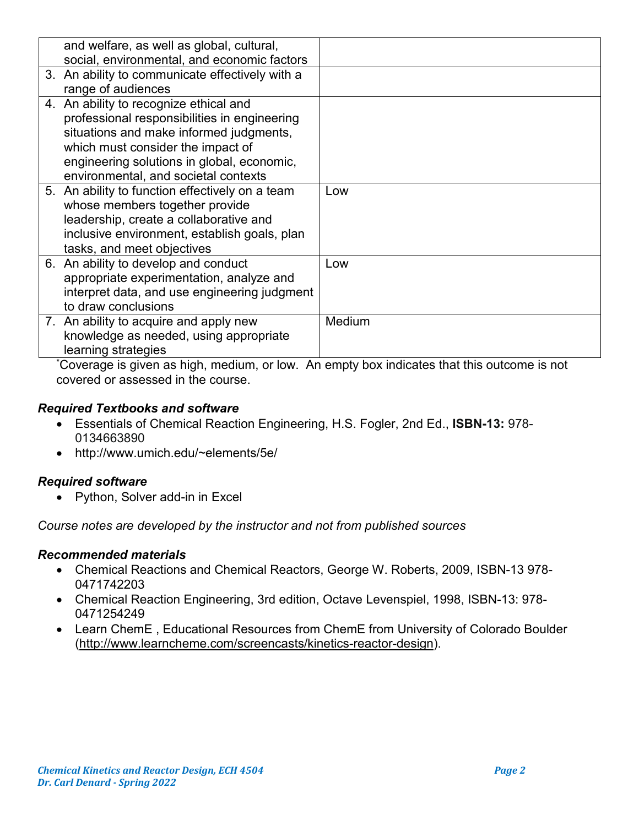| and welfare, as well as global, cultural,       |        |
|-------------------------------------------------|--------|
| social, environmental, and economic factors     |        |
| 3. An ability to communicate effectively with a |        |
| range of audiences                              |        |
| 4. An ability to recognize ethical and          |        |
| professional responsibilities in engineering    |        |
| situations and make informed judgments,         |        |
| which must consider the impact of               |        |
| engineering solutions in global, economic,      |        |
| environmental, and societal contexts            |        |
| 5. An ability to function effectively on a team | Low    |
| whose members together provide                  |        |
| leadership, create a collaborative and          |        |
| inclusive environment, establish goals, plan    |        |
| tasks, and meet objectives                      |        |
| 6. An ability to develop and conduct            | Low    |
| appropriate experimentation, analyze and        |        |
| interpret data, and use engineering judgment    |        |
| to draw conclusions                             |        |
| 7. An ability to acquire and apply new          | Medium |
| knowledge as needed, using appropriate          |        |
| learning strategies                             |        |

\* Coverage is given as high, medium, or low. An empty box indicates that this outcome is not covered or assessed in the course.

# *Required Textbooks and software*

- Essentials of Chemical Reaction Engineering, H.S. Fogler, 2nd Ed., **ISBN-13:** 978- 0134663890
- http://www.umich.edu/~elements/5e/

#### *Required software*

• Python, Solver add-in in Excel

*Course notes are developed by the instructor and not from published sources*

#### *Recommended materials*

- Chemical Reactions and Chemical Reactors, George W. Roberts, 2009, ISBN-13 978- 0471742203
- Chemical Reaction Engineering, 3rd edition, Octave Levenspiel, 1998, ISBN-13: 978- 0471254249
- Learn ChemE , Educational Resources from ChemE from University of Colorado Boulder [\(http://www.learncheme.com/screencasts/kinetics-reactor-design\)](http://www.learncheme.com/screencasts/kinetics-reactor-design).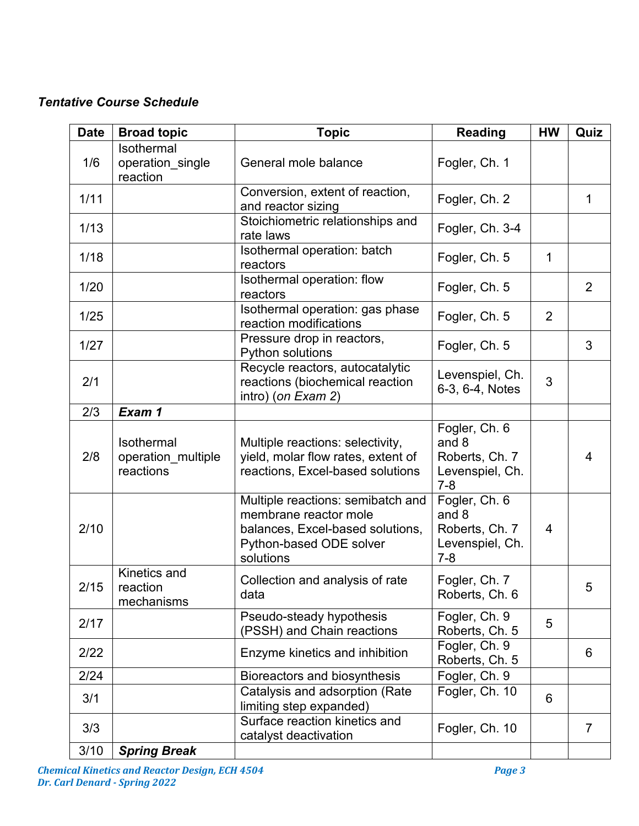# *Tentative Course Schedule*

| <b>Date</b> | <b>Broad topic</b>                            | <b>Topic</b>                                                                                                                           | <b>Reading</b>                                                         | <b>HW</b>      | Quiz           |
|-------------|-----------------------------------------------|----------------------------------------------------------------------------------------------------------------------------------------|------------------------------------------------------------------------|----------------|----------------|
| 1/6         | Isothermal<br>operation_single<br>reaction    | General mole balance                                                                                                                   | Fogler, Ch. 1                                                          |                |                |
| 1/11        |                                               | Conversion, extent of reaction,<br>and reactor sizing                                                                                  | Fogler, Ch. 2                                                          |                | 1              |
| 1/13        |                                               | Stoichiometric relationships and<br>rate laws                                                                                          | Fogler, Ch. 3-4                                                        |                |                |
| 1/18        |                                               | Isothermal operation: batch<br>reactors                                                                                                | Fogler, Ch. 5                                                          | $\mathbf{1}$   |                |
| 1/20        |                                               | Isothermal operation: flow<br>reactors                                                                                                 | Fogler, Ch. 5                                                          |                | $\overline{2}$ |
| 1/25        |                                               | Isothermal operation: gas phase<br>reaction modifications                                                                              | Fogler, Ch. 5                                                          | $\overline{2}$ |                |
| 1/27        |                                               | Pressure drop in reactors,<br>Python solutions                                                                                         | Fogler, Ch. 5                                                          |                | 3              |
| 2/1         |                                               | Recycle reactors, autocatalytic<br>reactions (biochemical reaction<br>intro) (on Exam 2)                                               | Levenspiel, Ch.<br>6-3, 6-4, Notes                                     | 3              |                |
| 2/3         | Exam 1                                        |                                                                                                                                        |                                                                        |                |                |
| 2/8         | Isothermal<br>operation_multiple<br>reactions | Multiple reactions: selectivity,<br>yield, molar flow rates, extent of<br>reactions, Excel-based solutions                             | Fogler, Ch. 6<br>and 8<br>Roberts, Ch. 7<br>Levenspiel, Ch.<br>$7 - 8$ |                | 4              |
| 2/10        |                                               | Multiple reactions: semibatch and<br>membrane reactor mole<br>balances, Excel-based solutions,<br>Python-based ODE solver<br>solutions | Fogler, Ch. 6<br>and 8<br>Roberts, Ch. 7<br>Levenspiel, Ch.<br>$7 - 8$ | 4              |                |
| 2/15        | Kinetics and<br>reaction<br>mechanisms        | Collection and analysis of rate<br>data                                                                                                | Fogler, Ch. 7<br>Roberts, Ch. 6                                        |                | 5              |
| 2/17        |                                               | Pseudo-steady hypothesis<br>(PSSH) and Chain reactions                                                                                 | Fogler, Ch. 9<br>Roberts, Ch. 5                                        | 5              |                |
| 2/22        |                                               | Enzyme kinetics and inhibition                                                                                                         | Fogler, Ch. 9<br>Roberts, Ch. 5                                        |                | 6              |
| 2/24        |                                               | Bioreactors and biosynthesis                                                                                                           | Fogler, Ch. 9                                                          |                |                |
| 3/1         |                                               | Catalysis and adsorption (Rate<br>limiting step expanded)                                                                              | Fogler, Ch. 10                                                         | 6              |                |
| 3/3         |                                               | Surface reaction kinetics and<br>catalyst deactivation                                                                                 | Fogler, Ch. 10                                                         |                | $\overline{7}$ |
| 3/10        | <b>Spring Break</b>                           |                                                                                                                                        |                                                                        |                |                |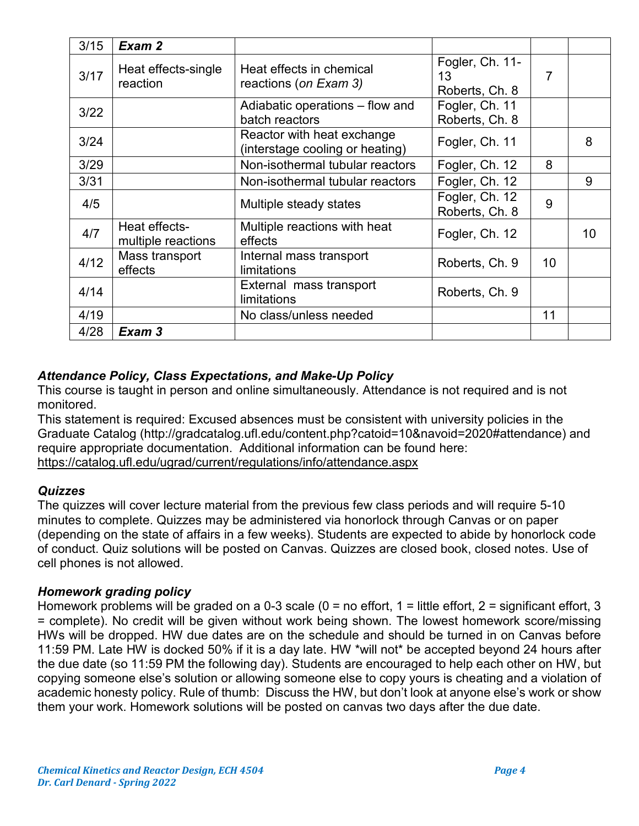| 3/15 | Exam 2                              |                                                               |                                         |                 |    |
|------|-------------------------------------|---------------------------------------------------------------|-----------------------------------------|-----------------|----|
| 3/17 | Heat effects-single<br>reaction     | Heat effects in chemical<br>reactions (on Exam 3)             | Fogler, Ch. 11-<br>13<br>Roberts, Ch. 8 | 7               |    |
| 3/22 |                                     | Adiabatic operations – flow and<br>batch reactors             | Fogler, Ch. 11<br>Roberts, Ch. 8        |                 |    |
| 3/24 |                                     | Reactor with heat exchange<br>(interstage cooling or heating) | Fogler, Ch. 11                          |                 | 8  |
| 3/29 |                                     | Non-isothermal tubular reactors                               | Fogler, Ch. 12                          | 8               |    |
| 3/31 |                                     | Non-isothermal tubular reactors                               | Fogler, Ch. 12                          |                 | 9  |
| 4/5  |                                     | Multiple steady states                                        | Fogler, Ch. 12<br>Roberts, Ch. 8        | 9               |    |
| 4/7  | Heat effects-<br>multiple reactions | Multiple reactions with heat<br>effects                       | Fogler, Ch. 12                          |                 | 10 |
| 4/12 | Mass transport<br>effects           | Internal mass transport<br>limitations                        | Roberts, Ch. 9                          | 10 <sup>°</sup> |    |
| 4/14 |                                     | External mass transport<br>limitations                        | Roberts, Ch. 9                          |                 |    |
| 4/19 |                                     | No class/unless needed                                        |                                         | 11              |    |
| 4/28 | Exam 3                              |                                                               |                                         |                 |    |

# *Attendance Policy, Class Expectations, and Make-Up Policy*

This course is taught in person and online simultaneously. Attendance is not required and is not monitored.

This statement is required: Excused absences must be consistent with university policies in the Graduate Catalog (http://gradcatalog.ufl.edu/content.php?catoid=10&navoid=2020#attendance) and require appropriate documentation. Additional information can be found here: <https://catalog.ufl.edu/ugrad/current/regulations/info/attendance.aspx>

# *Quizzes*

The quizzes will cover lecture material from the previous few class periods and will require 5-10 minutes to complete. Quizzes may be administered via honorlock through Canvas or on paper (depending on the state of affairs in a few weeks). Students are expected to abide by honorlock code of conduct. Quiz solutions will be posted on Canvas. Quizzes are closed book, closed notes. Use of cell phones is not allowed.

# *Homework grading policy*

Homework problems will be graded on a 0-3 scale (0 = no effort, 1 = little effort, 2 = significant effort, 3 = complete). No credit will be given without work being shown. The lowest homework score/missing HWs will be dropped. HW due dates are on the schedule and should be turned in on Canvas before 11:59 PM. Late HW is docked 50% if it is a day late. HW \*will not\* be accepted beyond 24 hours after the due date (so 11:59 PM the following day). Students are encouraged to help each other on HW, but copying someone else's solution or allowing someone else to copy yours is cheating and a violation of academic honesty policy. Rule of thumb: Discuss the HW, but don't look at anyone else's work or show them your work. Homework solutions will be posted on canvas two days after the due date.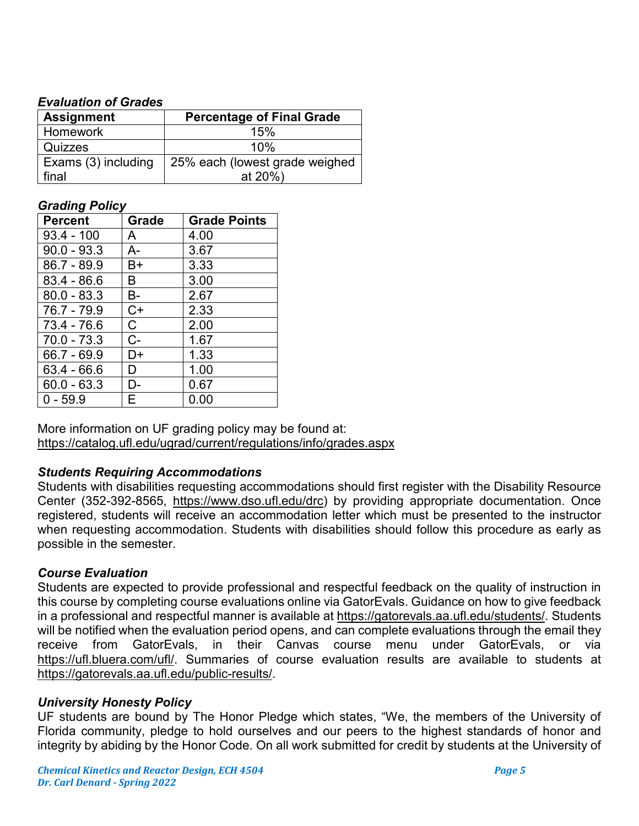# *Evaluation of Grades*

| <b>Assignment</b>   | <b>Percentage of Final Grade</b> |  |
|---------------------|----------------------------------|--|
| <b>Homework</b>     | 15%                              |  |
| Quizzes             | 10%                              |  |
| Exams (3) including | 25% each (lowest grade weighed   |  |
| final               | at $20\%$ )                      |  |

#### *Grading Policy*

| <b>Percent</b> | Grade | <b>Grade Points</b> |
|----------------|-------|---------------------|
| $93.4 - 100$   | A     | 4.00                |
| $90.0 - 93.3$  | A-    | 3.67                |
| 86.7 - 89.9    | B+    | 3.33                |
| $83.4 - 86.6$  | B     | 3.00                |
| $80.0 - 83.3$  | В-    | 2.67                |
| $76.7 - 79.9$  | C+    | 2.33                |
| 73.4 - 76.6    | C.    | 2.00                |
| $70.0 - 73.3$  | $C-$  | 1.67                |
| 66.7 - 69.9    | D+    | 1.33                |
| 63.4 - 66.6    | D     | 1.00                |
| $60.0 - 63.3$  | D-    | 0.67                |
| $0 - 59.9$     | F     | 0.00                |

More information on UF grading policy may be found at: <https://catalog.ufl.edu/ugrad/current/regulations/info/grades.aspx>

# *Students Requiring Accommodations*

Students with disabilities requesting accommodations should first register with the Disability Resource Center (352-392-8565, https://www.dso.ufl.edu/drc) by providing appropriate documentation. Once registered, students will receive an accommodation letter which must be presented to the instructor when requesting accommodation. Students with disabilities should follow this procedure as early as possible in the semester.

# *Course Evaluation*

Students are expected to provide professional and respectful feedback on the quality of instruction in this course by completing course evaluations online via GatorEvals. Guidance on how to give feedback in a professional and respectful manner is available at [https://gatorevals.aa.ufl.edu/students/.](https://gatorevals.aa.ufl.edu/students/) Students will be notified when the evaluation period opens, and can complete evaluations through the email they receive from GatorEvals, in their Canvas course menu under GatorEvals, or via [https://ufl.bluera.com/ufl/.](https://ufl.bluera.com/ufl/) Summaries of course evaluation results are available to students at [https://gatorevals.aa.ufl.edu/public-results/.](https://gatorevals.aa.ufl.edu/public-results/)

# *University Honesty Policy*

UF students are bound by The Honor Pledge which states, "We, the members of the University of Florida community, pledge to hold ourselves and our peers to the highest standards of honor and integrity by abiding by the Honor Code. On all work submitted for credit by students at the University of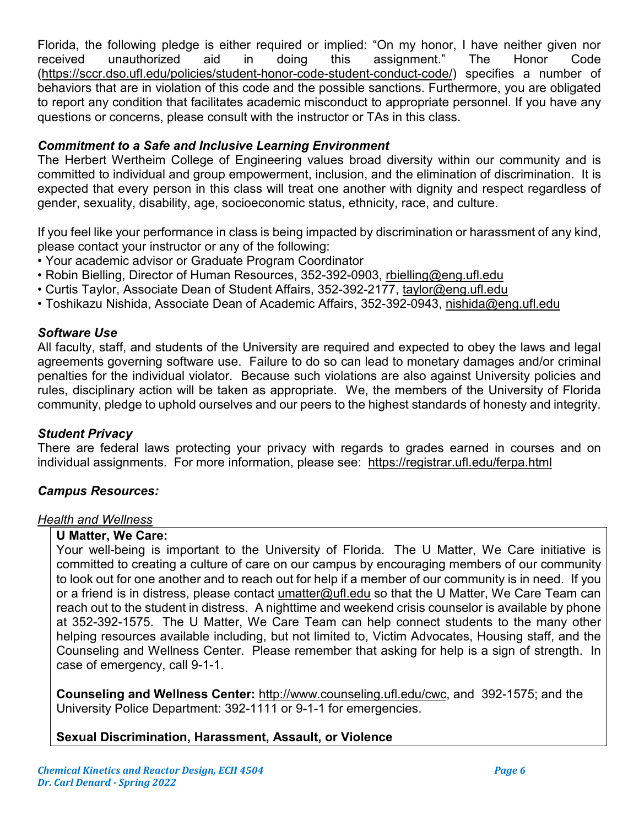Florida, the following pledge is either required or implied: "On my honor, I have neither given nor received unauthorized aid in doing this assignment." The Honor Code [\(https://sccr.dso.ufl.edu/policies/student-honor-code-student-conduct-code/\)](https://sccr.dso.ufl.edu/policies/student-honor-code-student-conduct-code/) specifies a number of behaviors that are in violation of this code and the possible sanctions. Furthermore, you are obligated to report any condition that facilitates academic misconduct to appropriate personnel. If you have any questions or concerns, please consult with the instructor or TAs in this class.

# *Commitment to a Safe and Inclusive Learning Environment*

The Herbert Wertheim College of Engineering values broad diversity within our community and is committed to individual and group empowerment, inclusion, and the elimination of discrimination. It is expected that every person in this class will treat one another with dignity and respect regardless of gender, sexuality, disability, age, socioeconomic status, ethnicity, race, and culture.

If you feel like your performance in class is being impacted by discrimination or harassment of any kind, please contact your instructor or any of the following:

- Your academic advisor or Graduate Program Coordinator
- Robin Bielling, Director of Human Resources, 352-392-0903, [rbielling@eng.ufl.edu](mailto:rbielling@eng.ufl.edu)
- Curtis Taylor, Associate Dean of Student Affairs, 352-392-2177, [taylor@eng.ufl.edu](mailto:taylor@eng.ufl.edu)
- Toshikazu Nishida, Associate Dean of Academic Affairs, 352-392-0943, [nishida@eng.ufl.edu](mailto:nishida@eng.ufl.edu)

#### *Software Use*

All faculty, staff, and students of the University are required and expected to obey the laws and legal agreements governing software use. Failure to do so can lead to monetary damages and/or criminal penalties for the individual violator. Because such violations are also against University policies and rules, disciplinary action will be taken as appropriate. We, the members of the University of Florida community, pledge to uphold ourselves and our peers to the highest standards of honesty and integrity.

#### *Student Privacy*

There are federal laws protecting your privacy with regards to grades earned in courses and on individual assignments. For more information, please see: <https://registrar.ufl.edu/ferpa.html>

#### *Campus Resources:*

#### *Health and Wellness*

#### **U Matter, We Care:**

Your well-being is important to the University of Florida. The U Matter, We Care initiative is committed to creating a culture of care on our campus by encouraging members of our community to look out for one another and to reach out for help if a member of our community is in need. If you or a friend is in distress, please contact [umatter@ufl.edu](mailto:umatter@ufl.edu) so that the U Matter, We Care Team can reach out to the student in distress. A nighttime and weekend crisis counselor is available by phone at 352-392-1575. The U Matter, We Care Team can help connect students to the many other helping resources available including, but not limited to, Victim Advocates, Housing staff, and the Counseling and Wellness Center. Please remember that asking for help is a sign of strength. In case of emergency, call 9-1-1.

**Counseling and Wellness Center:** [http://www.counseling.ufl.edu/cwc,](http://www.counseling.ufl.edu/cwc) and 392-1575; and the University Police Department: 392-1111 or 9-1-1 for emergencies.

# **Sexual Discrimination, Harassment, Assault, or Violence**